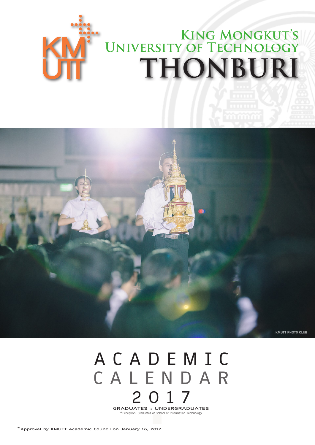



# **A C A D E M I C C A L E N D A R 2 0 1 7 GRADUATES : UNDERGRADUATES** \*Exception: Graduates of School of Information Technology

**\*Approval by KMUTT Academic Council on January 16, 2017.**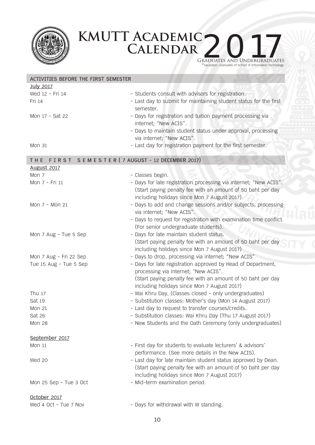

### **KMUTT Academic** KMUTT ACADEMIC 2017 Graduates and Undergraduates

\* Exception: Graduates of School of Information Technology

| ACTIVITIES BEFORE THE FIRST SEMESTER                |                                                                    |  |  |  |
|-----------------------------------------------------|--------------------------------------------------------------------|--|--|--|
| <b>July 2017</b>                                    |                                                                    |  |  |  |
| Wed 12 - Fri 14                                     | - Students consult with advisors for registration.                 |  |  |  |
| Fri 14                                              | - Last day to submit for maintaining student status for the first  |  |  |  |
|                                                     | semester.                                                          |  |  |  |
| Mon 17 - Sat 22                                     | - Days for registration and tuition payment processing via         |  |  |  |
|                                                     | internet; "New ACIS".                                              |  |  |  |
|                                                     | - Days to maintain student status under approval, processing       |  |  |  |
|                                                     | via internet; "New ACIS".                                          |  |  |  |
| <b>Mon 31</b>                                       | - Last day for registration payment for the first semester.        |  |  |  |
|                                                     |                                                                    |  |  |  |
| FIRST SEMESTER (7 AUGUST - 12 DECEMBER 2017)<br>THE |                                                                    |  |  |  |
| <b>August 2017</b>                                  |                                                                    |  |  |  |
| Mon 7                                               | - Classes begin.                                                   |  |  |  |
| Mon 7 - Fri 11                                      | - Days for late registration processing via internet; "New ACIS".  |  |  |  |
|                                                     | (Start paying penalty fee with an amount of 50 baht per day        |  |  |  |
|                                                     | including holidays since Mon 7 August 2017).                       |  |  |  |
| Mon 7 - Mon 21                                      | - Days to add and change sessions and/or subjects, processing      |  |  |  |
|                                                     | via internet; "New ACIS".                                          |  |  |  |
|                                                     | - Days to request for registration with examination time conflict. |  |  |  |
|                                                     | (For senior undergraduate students).                               |  |  |  |
| Mon 7 Aug - Tue 5 Sep                               | - Days for late maintain student status.                           |  |  |  |
|                                                     | (Start paying penalty fee with an amount of 50 baht per day        |  |  |  |
|                                                     | including holidays since Mon 7 August 2017)                        |  |  |  |
| Mon 7 Aug - Fri 22 Sep                              | - Days to drop, processing via internet; "New ACIS"                |  |  |  |
| Tue 15 Aug - Tue 5 Sep                              | - Days for late registration approved by Head of Department,       |  |  |  |
|                                                     | processing via internet; "New ACIS".                               |  |  |  |
|                                                     | (Start paying penalty fee with an amount of 50 baht per day        |  |  |  |
|                                                     | including holidays since Mon 7 August 2017)                        |  |  |  |
| Thu 17                                              | - Wai Khru Day, (Classes closed - only undergraduates)             |  |  |  |
| Sat 19                                              | - Substitution classes: Mother's day (Mon 14 August 2017)          |  |  |  |
| <b>Mon 21</b>                                       | - Last day to request to transfer courses/credits.                 |  |  |  |
| Sat 26                                              | - Substitution classes: Wai Khru Day (Thu 17 August 2017)          |  |  |  |
| <b>Mon 28</b>                                       | - New Students and the Oath Ceremony (only undergraduates)         |  |  |  |
| September 2017                                      |                                                                    |  |  |  |
| <b>Mon 11</b>                                       | - First day for students to evaluate lecturers' & advisors'        |  |  |  |
|                                                     | performance. (See more details in the New ACIS).                   |  |  |  |
| Wed 20                                              | - Last day for late maintain student status approved by Dean.      |  |  |  |
|                                                     | (Start paying penalty fee with an amount of 50 baht per day        |  |  |  |
|                                                     | including holidays since Mon 7 August 2017)                        |  |  |  |
| Mon 25 Sep - Tue 3 Oct                              | - Mid-term examination period.                                     |  |  |  |
|                                                     |                                                                    |  |  |  |
| October 2017                                        |                                                                    |  |  |  |
| Wed 4 Oct - Tue 7 Nov                               | - Days for withdrawal with W standing.                             |  |  |  |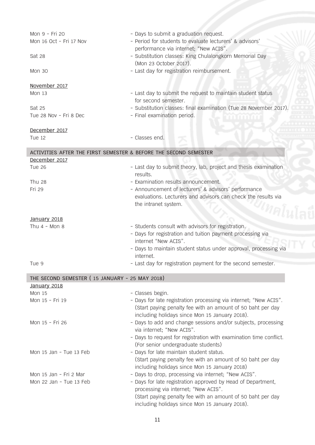| Mon 9 - Fri 20<br>Mon 16 Oct - Fri 17 Nov<br>Sat 28<br><b>Mon 30</b> | - Days to submit a graduation request.<br>- Period for students to evaluate lecturers' & advisors'<br>performance via internet; "New ACIS".<br>- Substitution classes: King Chulalongkorn Memorial Day<br>(Mon 23 October 2017).<br>- Last day for registration reimbursement. |
|----------------------------------------------------------------------|--------------------------------------------------------------------------------------------------------------------------------------------------------------------------------------------------------------------------------------------------------------------------------|
| November 2017                                                        |                                                                                                                                                                                                                                                                                |
| Mon 13                                                               | - Last day to submit the request to maintain student status<br>for second semester.                                                                                                                                                                                            |
| Sat 25                                                               | - Substitution classes: final examination (Tue 28 November 2017).                                                                                                                                                                                                              |
| Tue 28 Nov - Fri 8 Dec                                               | - Final examination period.                                                                                                                                                                                                                                                    |
| December 2017                                                        |                                                                                                                                                                                                                                                                                |
| Tue 12                                                               | - Classes end.                                                                                                                                                                                                                                                                 |
| ACTIVITIES AFTER THE FIRST SEMESTER & BEFORE THE SECOND SEMESTER     |                                                                                                                                                                                                                                                                                |
| December 2017                                                        |                                                                                                                                                                                                                                                                                |
| <b>Tue 26</b>                                                        | - Last day to submit theory, lab, project and thesis examination<br>results.                                                                                                                                                                                                   |
| <b>Thu 28</b>                                                        | - Examination results announcement.                                                                                                                                                                                                                                            |
| Fri 29                                                               | - Announcement of lecturers' & advisors' performance<br>evaluations. Lecturers and advisors can check the results via<br>the intranet system.                                                                                                                                  |
| January 2018                                                         |                                                                                                                                                                                                                                                                                |
| Thu $4 - Mon$ 8                                                      | - Students consult with advisors for registration.                                                                                                                                                                                                                             |
|                                                                      | - Days for registration and tuition payment processing via                                                                                                                                                                                                                     |
|                                                                      | internet "New ACIS".<br>- Days to maintain student status under approval, processing via                                                                                                                                                                                       |
|                                                                      | internet.                                                                                                                                                                                                                                                                      |
| Tue 9                                                                | - Last day for registration payment for the second semester.                                                                                                                                                                                                                   |
| THE SECOND SEMESTER (15 JANUARY - 25 MAY 2018)                       |                                                                                                                                                                                                                                                                                |
| January 2018                                                         |                                                                                                                                                                                                                                                                                |
| <b>Mon 15</b>                                                        | - Classes begin.                                                                                                                                                                                                                                                               |
| Mon 15 - Fri 19                                                      | - Days for late registration processing via internet; "New ACIS".<br>(Start paying penalty fee with an amount of 50 baht per day<br>including holidays since Mon 15 January 2018).                                                                                             |
| Mon 15 - Fri 26                                                      | - Days to add and change sessions and/or subjects, processing<br>via internet; "New ACIS".                                                                                                                                                                                     |
|                                                                      | - Days to request for registration with examination time conflict.<br>(For senior undergraduate students)                                                                                                                                                                      |
| Mon 15 Jan - Tue 13 Feb                                              | - Days for late maintain student status.                                                                                                                                                                                                                                       |
|                                                                      | (Start paying penalty fee with an amount of 50 baht per day<br>including holidays since Mon 15 January 2018)                                                                                                                                                                   |
| Mon 15 Jan - Fri 2 Mar                                               | - Days to drop, processing via internet; "New ACIS".                                                                                                                                                                                                                           |
| Mon 22 Jan - Tue 13 Feb                                              | - Days for late registration approved by Head of Department,<br>processing via internet; "New ACIS".                                                                                                                                                                           |
|                                                                      | (Start paying penalty fee with an amount of 50 baht per day<br>including holidays since Mon 15 January 2018).                                                                                                                                                                  |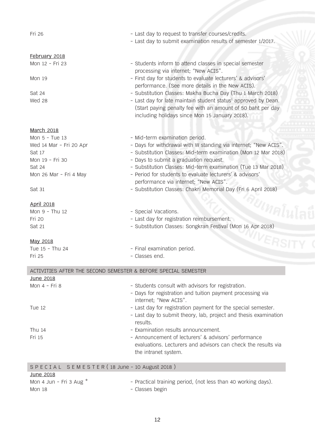Fri 26 **Fri 26** - Last day to request to transfer courses/credits.

## **February 2018**<br>Mon 12 - Fri 23

Mon 19  $-$  First day for students to evaluate lecturers' & advisors'

Sat 24 - Substitution Classes: Makha Bucha Day (Thu 1 March 2018) Wed 28 **August 20** - Last day for late maintain student status<sup>1</sup> approved by Dean.

#### **March 2018**

Mon 5 - Tue 13 - Mid-term examination period. Wed 14 Mar - Fri 20 Apr - The Standing Via internet; "New ACIS". Sat 17 - Substitution Classes: Mid-term examination (Mon 12 Mar 2018)<br>Mon 19 - Fri 30 - Davs to submit a graduation request. - Days to submit a graduation request. Sat 24 **- Substitution Classes: Mid-term examination (Tue 13 Mar 2018)** Mon 26 Mar - Fri 4 May - Period for students to evaluate lecturers' & advisors' performance via internet; "New ACIS".

- Last day to submit examination results of semester 1/2017.

- Students inform to attend classes in special semester

performance. (See more details in the New ACIS).

including holidays since Mon 15 January 2018).

(Start paying penalty fee with an amount of 50 baht per day

processing via internet; "New ACIS".

Sat 31 - Substitution Classes: Chakri Memorial Day (Fri 6 April 2018)

### **April 2018**

| Mon 9 - Thu 12 | - Special Vacations.                                        |
|----------------|-------------------------------------------------------------|
| Fri 20         | - Last day for registration reimbursement.                  |
| Sat 21         | - Substitution Classes: Songkran Festival (Mon 16 Apr 2018) |

**May 2018**

| Tue 15 - Thu 24 | - Final examination period. |
|-----------------|-----------------------------|
| Fri 25          | - Classes end.              |

| ACTIVITIES AFTER THE SECOND SEMESTER & BEFORE SPECIAL SEMESTER |                                                                                                                  |  |  |  |
|----------------------------------------------------------------|------------------------------------------------------------------------------------------------------------------|--|--|--|
| June 2018                                                      |                                                                                                                  |  |  |  |
| Mon 4 - Fri 8                                                  | - Students consult with advisors for registration.<br>- Days for registration and tuition payment processing via |  |  |  |
|                                                                | internet; "New ACIS".                                                                                            |  |  |  |
| Tue 12                                                         | - Last day for registration payment for the special semester.                                                    |  |  |  |
|                                                                | - Last day to submit theory, lab, project and thesis examination<br>results.                                     |  |  |  |
| Thu $14$                                                       | - Examination results announcement.                                                                              |  |  |  |
| Fri 15                                                         | - Announcement of lecturers' & advisors' performance                                                             |  |  |  |
|                                                                | evaluations. Lecturers and advisors can check the results via<br>the intranet system.                            |  |  |  |
| SPECIAL SEMESTER (18 June - 10 August 2018)                    |                                                                                                                  |  |  |  |
| June 2018                                                      |                                                                                                                  |  |  |  |
| Mon 4 Jun - Fri 3 Aug $*$                                      | - Practical training period, (not less than 40 working days).                                                    |  |  |  |

Mon 18 - Classes begin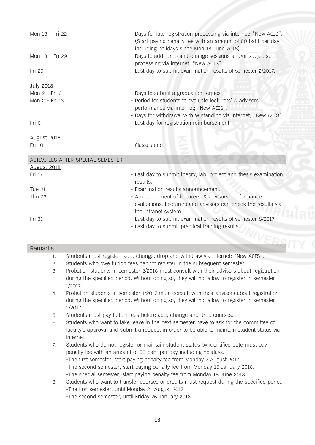| Mon 18 - Fri 22                   | - Days for late registration processing via internet; "New ACIS".<br>(Start paying penalty fee with an amount of 50 baht per day<br>including holidays since Mon 18 June 2018). |
|-----------------------------------|---------------------------------------------------------------------------------------------------------------------------------------------------------------------------------|
| Mon 18 - Fri 29                   | - Days to add, drop and change sessions and/or subjects,<br>processing via internet; "New ACIS".                                                                                |
| Fri 29                            | - Last day to submit examination results of semester 2/2017.                                                                                                                    |
| <b>July 2018</b>                  |                                                                                                                                                                                 |
| Mon 2 - Fri 6                     | - Days to submit a graduation request.                                                                                                                                          |
| Mon 2 - Fri 13                    | - Period for students to evaluate lecturers' & advisors'                                                                                                                        |
|                                   | performance via internet; "New ACIS".                                                                                                                                           |
|                                   | - Days for withdrawal with W standing via internet; "New ACIS".                                                                                                                 |
| Fri 6                             | - Last day for registration reimbursement.                                                                                                                                      |
|                                   |                                                                                                                                                                                 |
| <b>August 2018</b>                |                                                                                                                                                                                 |
| Fri 10                            | - Classes end.                                                                                                                                                                  |
| ACTIVITIES AFTER SPECIAL SEMESTER |                                                                                                                                                                                 |
| <b>August 2018</b>                |                                                                                                                                                                                 |
| Fri 17                            | - Last day to submit theory, lab, project and thesis examination<br>results.                                                                                                    |
| <b>Tue 21</b>                     | - Examination results announcement.                                                                                                                                             |
| Thu 23                            | - Announcement of lecturers' & advisors' performance<br>evaluations. Lecturers and advisors can check the results via<br>the intranet system.                                   |

#### Remarks :

- 1. Students must register, add, change, drop and withdraw via internet; "New ACIS".<br>2. Students who owe tuition fees cannot register in the subsequent semester.
- 2. Students who owe tuition fees cannot register in the subsequent semester.
- 3. Probation students in semester 2/2016 must consult with their advisors about registration during the specified period. Without doing so, they will not allow to register in semester 1/2017
- 4. Probation students in semester 1/2017 must consult with their advisors about registration during the specified period. Without doing so, they will not allow to register in semester 2/2017.
- 5. Students must pay tuition fees before add, change and drop courses.
- 6. Students who want to take leave in the next semester have to ask for the committee of faculty's approval and submit a request in order to be able to maintain student status via internet.
- 7. Students who do not register or maintain student status by identified date must pay penalty fee with an amount of 50 baht per day including holidays. -The first semester, start paying penalty fee from Monday 7 August 2017. -The second semester, start paying penalty fee from Monday 15 January 2018. -The special semester, start paying penalty fee from Monday 18 June 2018.
- 8. Students who want to transfer courses or credits must request during the specified period -The first semester, until Monday 21 August 2017.
	- -The second semester, until Friday 26 January 2018.